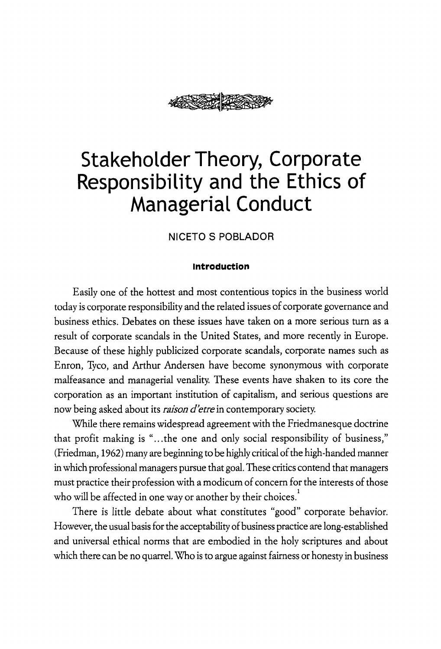

# **NICETO S POBLADOR**

## **Introduction**

Easily one of the hottest and most contentious topics in the business world today is corporate responsibility and the related issues of corporate governance and business ethics. Debates on these issues have taken on a more serious turn as a result of corporate scandals in the United States, and more recently in Europe. Because of these highly publicized corporate scandals, corporate names such as Enron, Tyco, and Arthur Andersen have become synonymous with corporate malfeasance and managerial venality. These events have shaken to its core the corporation as an important institution of capitalism, and serious questions are now being asked about its *raison d'etre* in contemporary society.

While there remains widespread agreement with the Friedmanesque doctrine that profit making is "... the one and only social responsibility of business," (Friedman, 1962) many are beginning to be highly critical of the high-handed manner in which professional managers pursue that goal. These critics contend that managers must practice their profession with a modicum of concern for the interests of those who will be affected in one way or another by their choices. $^{\rm 1}$ 

There is little debate about what constitutes "good" corporate behavior. However, the usual basis for the acceptability of business practice are long-established and universal ethical norms that are embodied in the holy scriptures and about which there can be no quarrel. Who is to argue against fairness or honesty in business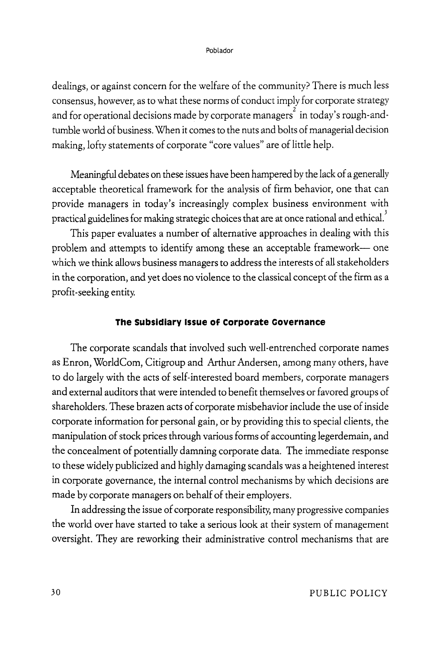dealings, or against concern for the welfare of the community? There is much less consensus, however, as to what these norms of conduct imply for corporate strategy and for operational decisions made by corporate managers $^2$  in today's rough-andtumble world of business. When it comes to the nuts and bolts of managerial decision making, lofty statements of corporate "core values" are of little help.

Meaningful debates on these issues have been hampered by the lack of a generally acceptable theoretical framework for the analysis of firm behavior, one that can provide managers in today's increasingly complex business environment with practical guidelines for making strategic choices that are at once rational and ethical. $^3$ 

This paper evaluates a number of alternative approaches in dealing with this problem and attempts to identify among these an acceptable framework- one which we think allows business managers to address the interests of all stakeholders in the corporation, and yet does no violence to the classical concept of the firm as a profit-seeking entity.

# **The subsidiary Issue of corporate covernance**

The corporate scandals that involved such well-entrenched corporate names as Enron, World Com, Citigroup and Arthur Andersen, among many others, have to do largely with the acts of self-interested board members, corporate managers and external auditors that were intended to benefit themselves or favored groups of shareholders. These brazen acts of corporate misbehavior include the use of inside corporate information for personal gain, or by providing this to special clients, the manipulation of stock prices through various forms of accounting legerdemain, and the concealment of potentially damning corporate data. The immediate response to these widely publicized and highly damaging scandals was a heightened interest in corporate governance, the internal control mechanisms by which decisions are made by corporate managers on behalf of their employers.

In addressing the issue of corporate responsibility, many progressive companies the world over have started to take a serious look at their system of management oversight. They are reworking their administrative control mechanisms that are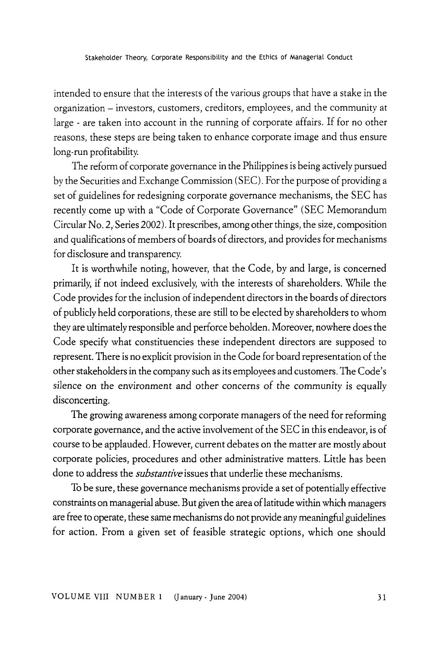intended to ensure that the interests of the various groups that have a stake in the organization - investors, customers, creditors, employees, and the community at large - are taken into account in the running of corporate affairs. If for no other reasons, these steps are being taken to enhance corporate image and thus ensure long-run profitability.

The reform of corporate governance in the Philippines is being actively pursued by the Securities and Exchange Commission (SEC). For the purpose of providing a set of guidelines for redesigning corporate governance mechanisms, the SEC has recently come up with a "Code of Corporate Governance" (SEC Memorandum Circular No. 2,. Series 2002). It prescribes, among other things, the size, composition and qualifications of members of boards of directors, and provides for mechanisms for disclosure and transparency.

It is worthwhile noting, however, that the Code, by and large, is concerned primarily, if not indeed exclusively, with the interests of shareholders. While the Code provides for the inclusion of independent directors in the boards of directors of publicly held corporations, these are still to be elected by shareholders to whom they are ultimately responsible and perforce beholden. Moreover, nowhere does the Code specify what constituencies these independent directors are supposed to represent. There is no explicit provision in the Code for board representation of the other stakeholders in the company such as its employees and customers. The Code's silence on the environment and other concerns of the community is equally disconcerting.

The growing awareness among corporate managers of the need for reforming corporate governance, and the active involvement of the SEC in this endeavor, is of course to be applauded. However, current debates on the matter are mostly about corporate policies, procedures and other administrative matters. Little has been done to address the *substantive* issues that underlie these mechanisms.

To be sure, these governance mechanisms provide a set of potentially effective constraints on managerial abuse. But given the area of latitude within which managers are free to operate, these same mechanisms do not provide any meaningful guidelines for action. From a given set of feasible strategic options, which one should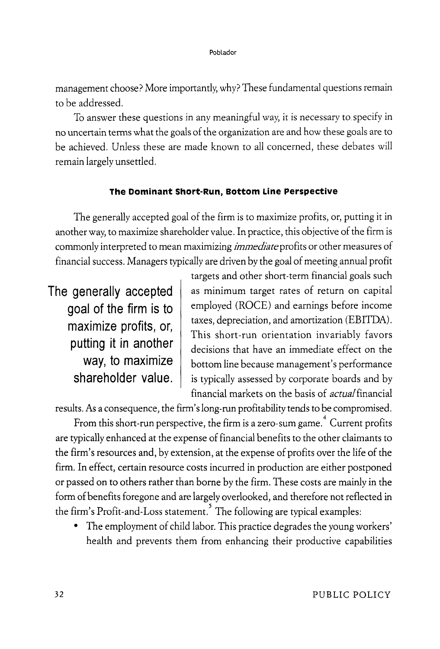management choose? More importantly, why? These fundamental questions remain to be addressed.

To answer these questions in any meaningful way, it is necessary to. specify in no uncertain terms what the goals of the organization are and how these goals are to be achieved. Unless these are made known to all concerned, these debates will remain largely unsettled.

## **The Dominant Short-Run, Bottom Line Perspective**

The generally accepted goal of the firm is to maximize profits, or, putting it in another way, to maximize shareholder value. In practice, this objective of the firm is commonly interpreted to mean maximizing *immediate* profits or other measures of financial success. Managers typically are driven by the goal of meeting\_annual profit

**The generally accepted goal of the firm is to maximize profits,** or, **putting it in another way, to maximize shareholder value.**  targets and other short-term financial goals such as minimum target rates of return on capital employed (ROCE) and earnings before income taxes, depreciation, and amortization (EBITDA). This short-run orientation invariably favors decisions that have an immediate effect on the bottom line because management's performance is typically assessed by corporate boards and by financial markets on the basis of *actual* financial

results. As a consequence, the firm's long-run profitability tends to be compromised.

From this short-run perspective, the firm is a zero-sum game. $^\text{4}$  Current profits are typically enhanced at the expense of financial benefits to the other claimants to the firm's resources and, by extension, at the expense of profits over the life of the firm. In effect, certain resource costs incurred in production are either postponed or passed on to others rather than borne by the firm. These costs are mainly in the form of benefits foregone and are largely overlooked, and therefore not reflected in the firm's Profit-and-Loss statement.<sup>5</sup> The following are typical examples:

• The employment of child labor. This practice degrades the young workers' health and prevents them from enhancing their productive capabilities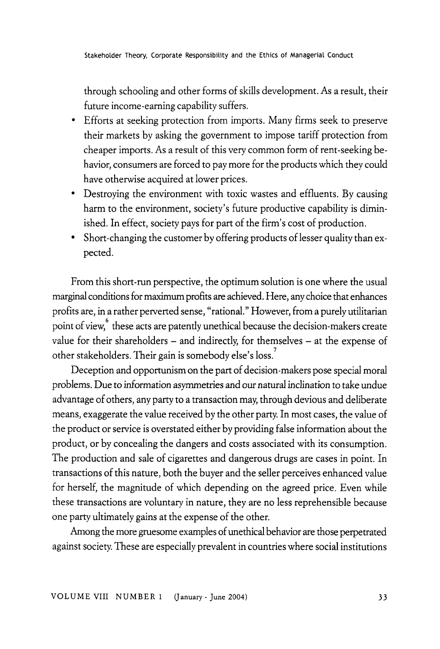through schooling and other forms of skills development. As a result, their future income-earning capability suffers.

- Efforts at seeking protection from imports. Many firms seek to preserve their markets by asking the government to impose tariff protection from cheaper imports. As a result of this very common form of rent-seeking behavior, consumers are forced to pay more for the products which they could have otherwise acquired at lower prices.
- Destroying the environment with toxic wastes and effluents. By causing harm to the environment, society's future productive capability is diminished. In effect, society pays for part of the firm's cost of production.
- Short-changing the customer by offering products of lesser quality than expected.

From this short-run perspective, the optimum solution is one where the usual marginal conditions for maximum profits are achieved. Here, any choice that enhances profits are, in a rather perverted sense, "rational." However, from a purely utilitarian point of view, "these acts are patently unethical because the decision-makers create value for their shareholders - and indirectly, for themselves - at the expense of other stakeholders. Their gain is somebody else's loss. $\vec{\phantom{a}}$ 

Deception and opportunism on the part of decision-makers pose special moral problems. Due to information asymmetries and our natural inclination to take undue advantage of others, any party to a transaction may, through devious and deliberate means, exaggerate the value received by the other party. In most cases, the value of the product or service is overstated either by providing false information about the product, or by concealing the dangers and costs associated with its consumption. The production and sale of cigarettes and dangerous drugs are cases in point. In transactions of this nature, both the buyer and the seller perceives enhanced value for herself, the magnitude of which depending on the agreed price. Even while these transactions are voluntary in nature, they are no less reprehensible because one party ultimately gains at the expense of the other.

Among the more gruesome examples of unethical behavior are those perpetrated against society. These are especially prevalent in countries where social institutions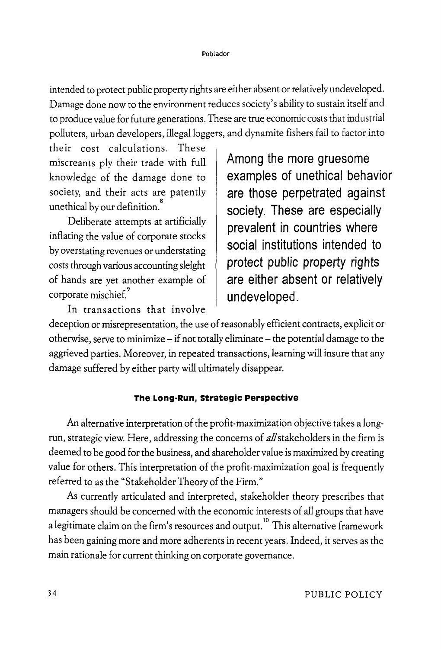intended to protect public property rights are either absent or relatively undeveloped. Damage done now to the environment reduces society's ability to sustain itself and to produce value for future generations. These are true economic costs that industrial polluters, urban developers, illegal loggers, and dynamite fishers fail to factor into

their cost calculations. These miscreants ply their trade with full knowledge of the damage done to society, and their acts are patently unethical by our definition.<sup>8</sup>

Deliberate attempts at artificially inflating the value of corporate stocks by overstating revenues or understating costs through various accounting sleight of hands are yet another example of corporate mischief.<sup>9</sup>

**Among the more gruesome examples of unethical behavior are those perpetrated against society. These are especially prevalent in countries where social institutions intended to protect public property rights are either absent or relatively undeveloped.** 

In transactions that involve

deception or misrepresentation, the use of reasonably efficient contracts, explicit or otherwise, serve to minimize- if not totally eliminate- the potential damage to the aggrieved parties. Moreover, in repeated transactions, learning will insure that any damage suffered by either party will ultimately disappear.

# **The Long-Run, strategic Perspective**

An alternative interpretation of the profit-maximization objective takes a longrun, strategic view. Here, addressing the concerns of *all* stakeholders in the firm is deemed to be good for the business, and shareholder value is maximized by creating value for others. This interpretation of the profit-maximization goal is frequently referred to as the "Stakeholder Theory of the Firm."

As currently articulated and interpreted, stakeholder theory prescribes that managers should be concerned with the economic interests of all groups that have a legitimate claim on the firm's resources and output.  $^{\rm 10}$  This alternative framework has been gaining more and more adherents in recent years. Indeed, it serves as the main rationale for current thinking on corporate governance.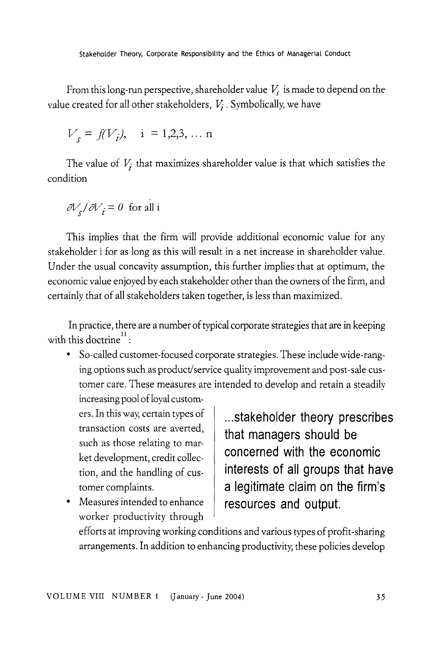From this long-run perspective, shareholder value  $V_s$  is made to depend on the value created for all other stakeholders, *Vj.* Symbolically, we have

$$
V_s = f(V_i)
$$
, i = 1,2,3,... n

The value of  $V_i$  that maximizes shareholder value is that which satisfies the condition

$$
\partial V_s / \partial V_i = 0
$$
 for all i

This implies that the firm will provide additional economic value for any stakeholder i for as long as this will result in a net increase in shareholder value. Under the usual concavity assumption, this further implies that at optimum, the economic value enjoyed by each stakeholder other than the owners of the firm, and certainly that of all stakeholders taken together, is less than maximized.

In practice, there are a number of typical corporate strategies that are in keeping with this doctrine<sup> $11$ </sup>:

• So-called customer-focused corporate strategies. These include wide-ranging options such as product/service quality improvement and post -sale customer care. These measures are intended to develop and retain a steadily

increasing pool of loyal customers. In this way, certain types of transaction costs are averted, such as those relating to market development, credit collection, and the handling of customer complaints.

• Measures intended to enhance worker productivity through

**... stakeholder theory prescribes that managers should be concerned with the economic interests of all groups that have a legitimate claim on the firm's resources and output.** 

efforts at improving working conditions and various types of profit -sharing arrangements. In addition to enhancing productivity, these policies develop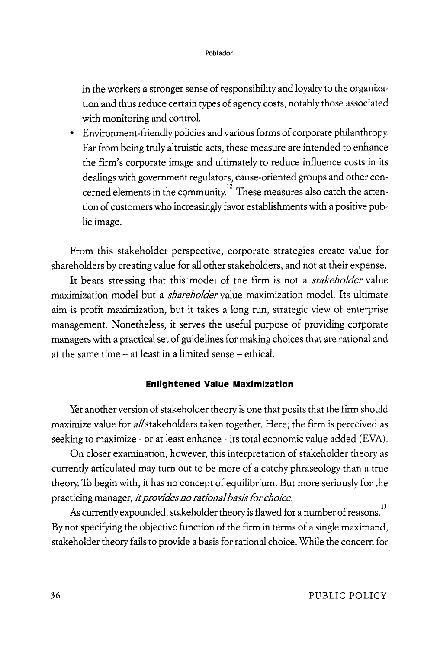in the workers a stronger sense of responsibility and loyalty to the organization and thus reduce certain types of agency costs, notably those associated with monitoring and control.

• Environment-friendly policies and various forms of corporate philanthropy. Far from being truly altruistic acts, these measure are intended to enhance the firm's corporate image and ultimately to reduce influence costs in its dealings with government regulators, cause-oriented groups and other concerned elements in the community.<sup>12</sup> These measures also catch the attention of customers who increasingly favor establishments with a positive public image.

From this stakeholder perspective, corporate strategies create value for shareholders by creating value for all other stakeholders, and not at their expense.

It bears stressing that this model of the firm is not a *stakeholder* value maximization model but a *shareholder* value maximization model. Its ultimate aim is profit maximization, but it takes a long run, strategic view of enterprise management. Nonetheless, it serves the useful purpose of providing corporate managers with a practical set of guidelines for making choices that are rational and at the same time  $-$  at least in a limited sense  $-$  ethical.

# **Enlightened Value Maximization**

Yet another version of stakeholder theory is one that posits that the firm should maximize value for *all* stakeholders taken together. Here, the firm is perceived as seeking to maximize - or at least enhance - its total economic value added (EVA).

On closer examination, however, this interpretation of stakeholder theory as currently articulated may turn out to be more of a catchy phraseology than a true theory. To begin with, it has no concept of equilibrium. But more seriously for the practicing manager, *it provides no rational basis for choice.* 

As currently expounded, stakeholder theory is flawed for a number of reasons.  $^{\rm 13}$ By not specifying the objective function of the firm in terms of a single maximand, stakeholder theory fails to provide a basis for rational choice. While the concern for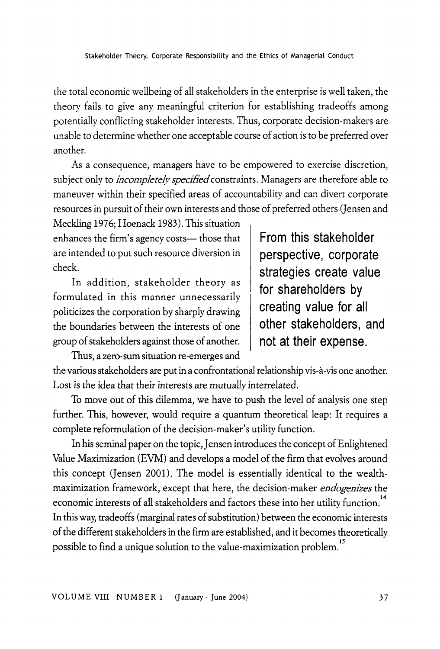the total economic wellbeing of all stakeholders in the enterprise is well taken, the theory fails to give any meaningful criterion for establishing tradeoffs among potentially conflicting stakeholder interests. Thus, corporate decision-makers are unable to determine whether one acceptable course of action is to be preferred over another.

As a consequence, managers have to be empowered to exercise discretion, subject only to *incompletely specified* constraints. Managers are therefore able to maneuver within their specified areas of accountability and can divert corporate resources in pursuit of their own interests and those of preferred others (Jensen and

Meckling 1976; Hoenack 1983). This situation enhances the firm's agency costs— those that are intended to put such resource diversion in check.

In addition, stakeholder theory as formulated in this manner unnecessarily politicizes the corporation by sharply drawing the boundaries between the interests of one group of stakeholders against those of another.

Thus, a zero-sum situation re-emerges and

**From this stakeholder perspective, corporate strategies create value for shareholders by creating value for all other stakeholders, and not at their expense.** 

the various stakeholders are put in a confrontational relationship vis-a-vis one another. Lost is the idea that their interests are mutually interrelated.

To move out of this dilemma, we have to push the level of analysis one step further. This, however, would require a quantum theoretical leap: It requires a complete reformulation of the decision-maker's utility function.

In his seminal paper on the topic, Jensen introduces the concept of Enlightened Value Maximization (EVM) and develops a model of the firm that evolves around this concept (Jensen 2001). The model is essentially identical to the wealthmaximization framework, except that here, the decision-maker *endogenizes* the economic interests of all stakeholders and factors these into her utility function.<sup>14</sup> In this way, tradeoffs (marginal rates of substitution) between the economic interests of the different stakeholders in the firm are established, and it becomes theoretically

possible to find a unique solution to the value-maximization problem. 15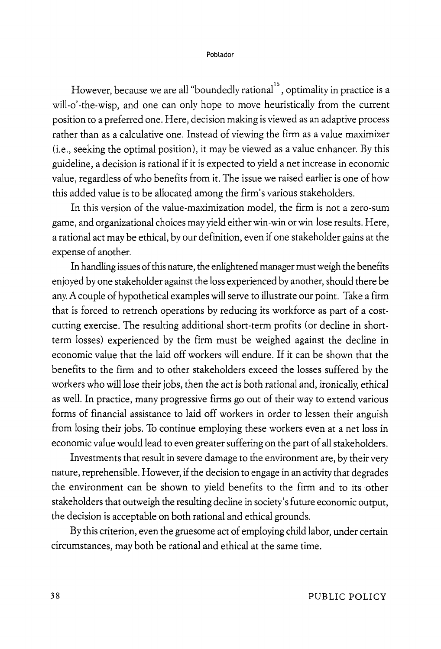However, because we are all "boundedly rational<sup>16</sup>, optimality in practice is a will-o'-the-wisp, and one can only hope to move heuristically from the current position to a preferred one. Here, decision making is viewed as an adaptive process rather than as a calculative one. Instead of viewing the firm as a value maximizer (i.e., seeking the optimal position), it may be viewed as a value enhancer. By this guideline, a decision is rational if it is expected to yield a net increase in economic value, regardless of who benefits from it. The issue we raised earlier is one of how this added value is to be allocated among the firm's various stakeholders.

In this version of the value-maximization model, the firm is not a zero-sum game, and organizational choices may yield either win-win or win-lose results. Here, a rational act may be ethical, by our definition, even if one stakeholder gains at the expense of another.

In handling issues of this nature, the enlightened manager must weigh the benefits enjoyed by one stakeholder against the loss experienced by another, should there be any. A couple of hypothetical examples will serve to illustrate our point. Take a firm that is forced to retrench operations by reducing its workforce as part of a costcutting exercise. The resulting additional short-term profits (or decline in shortterm losses) experienced by the firm must be weighed against the decline in economic value that the laid off workers will endure. If it can be shown that the benefits to the firm and to other stakeholders exceed the losses suffered by the workers who will lose their jobs, then the act is both rational and, ironically, ethical as well. In practice, many progressive firms go out of their way to extend various forms of financial assistance to laid off workers in order to lessen their anguish from losing their jobs. To continue employing these workers even at a net loss in economic value would lead to even greater suffering on the part of all stakeholders.

Investments that result in severe damage to the environment are, by their very nature, reprehensible. However, if the decision to engage in an activity that degrades the environment can be shown to yield benefits to the firm and to its other stakeholders that outweigh the resulting decline in society's future economic output, the decision is acceptable on both rational and ethical grounds.

By this criterion, even the gruesome act of employing child labor, under certain circumstances, may both be rational and ethical at the same time.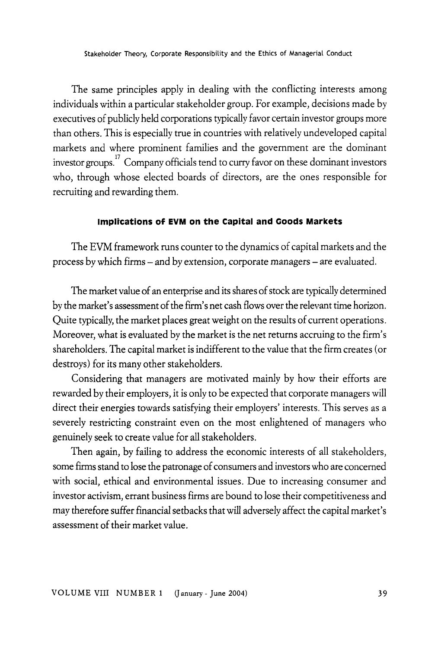The same principles apply in dealing with the conflicting interests among individuals within a particular stakeholder group. For example, decisions made by executives of publicly held corporations typically favor certain investor groups more than others. This is especially true in countries with relatively undeveloped capital markets and where prominent families and the government are the dominant investor groups.<sup>17</sup> Company officials tend to curry favor on these dominant investors who, through whose elected boards of directors, are the ones responsible for recruiting and rewarding them.

## **Implications of EVM on the capital and Coods Markets**

The EVM framework runs counter to the dynamics of capital markets and the process by which firms- and by extension, corporate managers- are evaluated.

The market value of an enterprise and its shares of stock are typically determined by the market's assessment of the firm's net cash flows over the relevant time horizon. Quite typically, the market places great weight on the results of current operations. Moreover, what is evaluated by the market is the net returns accruing to the firm's shareholders. The capital market is indifferent to the value that the firm creates (or destroys) for its many other stakeholders.

Considering that managers are motivated mainly by how their efforts are rewarded by their employers, it is only to be expected that corporate managers will direct their energies towards satisfying their employers' interests. This serves as a severely restricting constraint even on the most enlightened of managers who genuinely seek to create value for all stakeholders.

Then again, by failing to address the economic interests of all stakeholders, some firms stand to lose the patronage of consumers and investors who are concerned with social, ethical and environmental issues. Due to increasing consumer and investor activism, errant business firms are bound to lose their competitiveness and may therefore suffer financial setbacks that will adversely affect the capital market's assessment of their market value.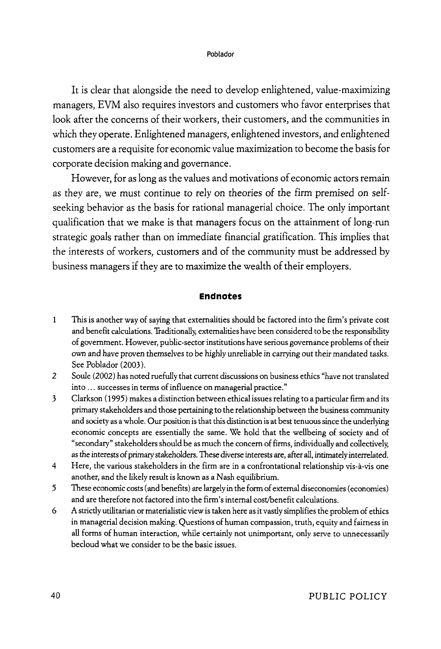It is clear that alongside the need to develop enlightened, value-maximizing managers, EVM also requires investors and customers who favor enterprises that look after the concerns of their workers, their customers, and the communities in which they operate. Enlightened managers, enlightened investors, and enlightened customers are a requisite for economic value maximization to become the basis for corporate decision making and governance.

However, for as long as the values and motivations of economic actors remain as they are, we must continue to rely on theories of the firm premised on selfseeking behavior as the basis for rational managerial choice. The only important qualification that we make is that managers focus on the attainment of long-run strategic goals rather than on immediate financial gratification. This implies that the interests of workers, customers and of the community must be addressed by business managers if they are to maximize the wealth of their employers.

### **Endnotes**

- 1 This is another way of saying that externalities should be factored into the firm's private cost and benefit calculations. 'fraditionally, externalities have been considered to be the responsibility of government. However, public-sector institutions have serious governance problems of their own and have proven themselves to be highly unreliable in carrying out their mandated tasks. See Poblador (2003).
- *2* Soule (2002) has noted ruefully that current discussions on business ethics "have not translated into ... successes in terms of influence on managerial practice."
- 3 Clarkson ( 1995) makes a distinction between ethical issues relating to a particular firm and its primary stakeholders and those pertaining to the relationship between the business community and society as a whole. Our position is that this distinction is at best tenuous since the underlying economic concepts are essentially the same. We hold that the wellbeing of society and of "secondary" stakeholders should be as much the concern of firms, individually and collectively, as the interests of primary stakeholders. These diverse interests are, after all, intimately interrelated.
- 4 Here, the various stakeholders in the firm are in a confrontational relationship vis-a-vis one another, and the likely result is known as a Nash equilibrium.
- 5 These economic costs (and benefits) are largely in the form of external diseconomies (economies) and are therefore not factored into the firm's internal cost/benefit calculations.
- 6 A strictly utilitarian or materialistic view is taken here as it vastly simplifies the problem of ethics in managerial decision making. Questions of human compassion, truth, equity and fairness in all forms of human interaction, while certainly not unimportant, only serve to unnecessarily becloud what we consider to be the basic issues.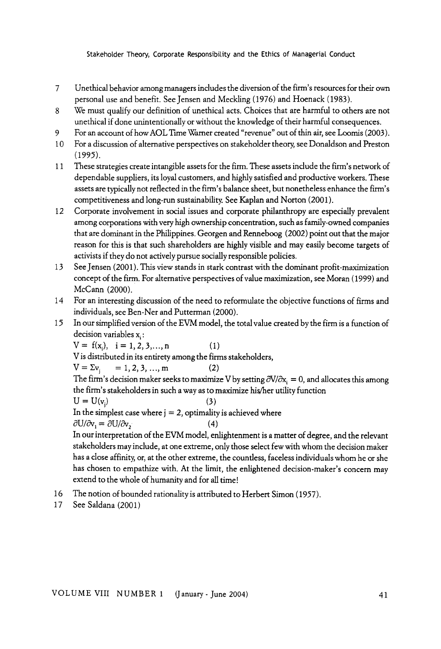- 7 Unethical behavior among managers includes the diversion of the firm's resources for their own personal use and benefit. See Jensen and Meckling (1976) and Hoenack (1983).
- 8 We must qualify our definition of unethical acts. Choices that are harmful to others are not unethical if done unintentionally or without the knowledge of their harmful consequences.
- 9 For an account of how AOL Time Warner created "revenue" out of thin air, see Loomis (2003 ).
- 10 For a discussion of alternative perspectives on stakeholder theory, see Donaldson and Preston (1995).
- 11 These strategies create intangible assets for the firm. These assets include the firm's network of dependable suppliers, its loyal customers, and highly satisfied and productive workers. These assets are typically not reflected in the firm's balance sheet, but nonetheless enhance the firm's competitiveness and long-run sustainability. See Kaplan and Norton (2001 ).
- 12 Corporate involvement in social issues and corporate philanthropy are especially prevalent among corporations with very high ownership concentration, such as family-owned companies that are dominant in the Philippines. Georgen and Renneboog (2002) point out that the major reason for this is that such shareholders are highly visible and may easily become targets of activists if they do not actively pursue socially responsible policies.
- 13 See Jensen (2001 ). This view stands in stark contrast with the dominant profit-maximization concept of the firm. For alternative perspectives of value maximization, see Moran ( 1999) and McCann (2000).
- 14 For an interesting discussion of the need to reformulate the objective functions of firms and individuals, see Ben-Ner and Putterman (2000).
- 15 In our simplified version of the EVM model, the total value created by the firm is a function of decision variables  $x_i$ :

 $V = f(x_i), i = 1, 2, 3, \ldots, n$  (1)

Vis distributed in its entirety among the firms stakeholders,

$$
V = \Sigma v_{i} = 1, 2, 3, ..., m
$$
 (2)

The firm's decision maker seeks to maximize V by setting  $\partial V/\partial x_i = 0$ , and allocates this among the firm's stakeholders in such a way as to maximize his/her utility function  $U=U(v_i)$ 

$$
(\mathbf{3})
$$

In the simplest case where  $j = 2$ , optimality is achieved where

 $\partial U/\partial v_1 = \partial U/\partial v_2$  (4)

In our interpretation of the EVM model, enlightenment is a matter of degree, and the relevant stakeholders may include, at one extreme, only those select few with whom the decision maker has a close affinity, or, at the other extreme, the countless, faceless individuals whom he or she has chosen to empathize with. At the limit, the enlightened decision-maker's concern may extend to the whole of humanity and for all time!

- 16 The notion of bounded rationality is attributed to Herbert Simon (1957).
- 17 See Saldana (2001)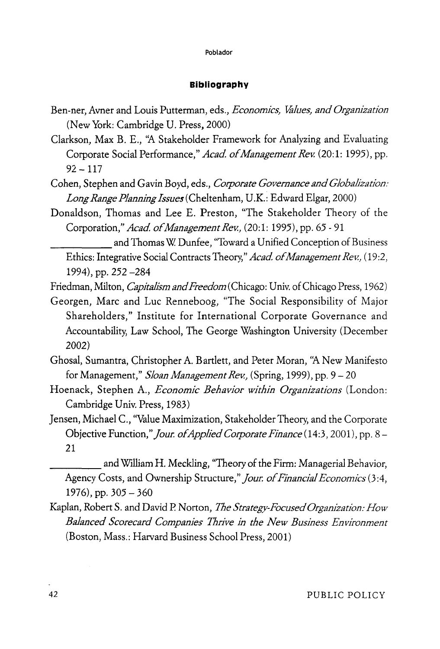## **Bibliography**

- Ben-ner, Avner and Louis Putterman, eds., *Economics, Values, and Organization*  (New York: Cambridge U. Press, 2000)
- Clarkson, Max B. E., ''A Stakeholder Framework for Analyzing and Evaluating Corporate Social Performance," *Acad of Management Rev.* (20:1: 1995), pp.  $92 - 117$
- Cohen, Stephen and Gavin Boyd, eds., *Corporate Governance and Globalization: Long Range Planning Issues* (Cheltenham, U.K.: Edward Elgar, 2000)
- Donaldson, Thomas and Lee E. Preston, "The Stakeholder Theory of the Corporation," *Acad of Management Rev.,* (20:1: 1995), pp. 65-91

and Thomas W. Dunfee, "Toward a Unified Conception of Business Ethics: Integrative Social Contracts Theory," *Acad of Management Rev.,* (19:2, 1994), pp. 252 -284

- Friedman, Milton, *Capitalism and Freedom* (Chicago: Univ. of Chicago Press, 1962)
- Georgen, Marc and Luc Renneboog, "The Social Responsibility of Major Shareholders," Institute for International Corporate Governance and Accountability, Law School, The George Washington University (December 2002)
- Ghosal, Sumantra, Christopher A. Bartlett, and Peter Moran, ''A New Manifesto for Management," *Sloan Management Rev.,* (Spring, 1999), pp. 9-20
- Hoenack, Stephen A., *Economic Behavior within Organizations* (London: Cambridge Univ. Press, 1983)
- Jensen, Michael C., ''Value Maximization, Stakeholder Theory, and the Corporate Objective Function," *four. of Applied Corporate Finance* ( 14:3, 2001), pp. 8- 21

and William H. Meckling, "Theory of the Firm: Managerial Behavior, Agency Costs, and Ownership Structure," *four. of Financial Economics* (3 :4, 1976), pp.  $305 - 360$ 

Kaplan, RobertS. and David P. Norton, *The Strategy-Focused Organization: How Balanced Scorecard Companies Thrive in the New Business Environment*  (Boston, Mass.: Harvard Business School Press, 2001)